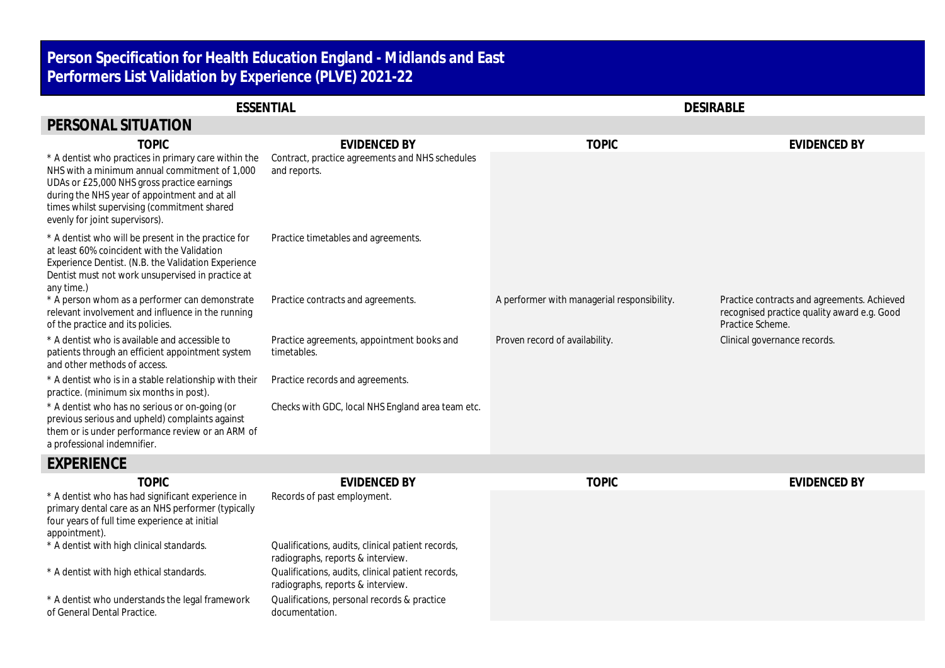## **Person Specification for Health Education England - Midlands and East Performers List Validation by Experience (PLVE) 2021-22**

| <b>ESSENTIAL</b>                                                                                                                                                                                                                                                                       |                                                                 | <b>DESIRABLE</b>                            |                                                                                                                |
|----------------------------------------------------------------------------------------------------------------------------------------------------------------------------------------------------------------------------------------------------------------------------------------|-----------------------------------------------------------------|---------------------------------------------|----------------------------------------------------------------------------------------------------------------|
| PERSONAL SITUATION                                                                                                                                                                                                                                                                     |                                                                 |                                             |                                                                                                                |
| <b>TOPIC</b>                                                                                                                                                                                                                                                                           | <b>EVIDENCED BY</b>                                             | <b>TOPIC</b>                                | <b>EVIDENCED BY</b>                                                                                            |
| * A dentist who practices in primary care within the<br>NHS with a minimum annual commitment of 1,000<br>UDAs or £25,000 NHS gross practice earnings<br>during the NHS year of appointment and at all<br>times whilst supervising (commitment shared<br>evenly for joint supervisors). | Contract, practice agreements and NHS schedules<br>and reports. |                                             |                                                                                                                |
| * A dentist who will be present in the practice for<br>at least 60% coincident with the Validation<br>Experience Dentist. (N.B. the Validation Experience<br>Dentist must not work unsupervised in practice at<br>any time.)                                                           | Practice timetables and agreements.                             |                                             |                                                                                                                |
| * A person whom as a performer can demonstrate<br>relevant involvement and influence in the running<br>of the practice and its policies.                                                                                                                                               | Practice contracts and agreements.                              | A performer with managerial responsibility. | Practice contracts and agreements. Achieved<br>recognised practice quality award e.g. Good<br>Practice Scheme. |
| * A dentist who is available and accessible to<br>patients through an efficient appointment system<br>and other methods of access.                                                                                                                                                     | Practice agreements, appointment books and<br>timetables.       | Proven record of availability.              | Clinical governance records.                                                                                   |
| * A dentist who is in a stable relationship with their<br>practice. (minimum six months in post).                                                                                                                                                                                      | Practice records and agreements.                                |                                             |                                                                                                                |
| * A dentist who has no serious or on-going (or<br>previous serious and upheld) complaints against<br>them or is under performance review or an ARM of<br>a professional indemnifier.                                                                                                   | Checks with GDC, local NHS England area team etc.               |                                             |                                                                                                                |
| $-1/5-1/5-1/5-$                                                                                                                                                                                                                                                                        |                                                                 |                                             |                                                                                                                |

## **EXPERIENCE**

| <b>TOPIC</b>                                                                                                                                                              | <b>EVIDENCED BY</b>                                                                    | <b>TOPIC</b> | EVIDENCED BY |
|---------------------------------------------------------------------------------------------------------------------------------------------------------------------------|----------------------------------------------------------------------------------------|--------------|--------------|
| * A dentist who has had significant experience in<br>primary dental care as an NHS performer (typically<br>four years of full time experience at initial<br>appointment). | Records of past employment.                                                            |              |              |
| * A dentist with high clinical standards.                                                                                                                                 | Qualifications, audits, clinical patient records,<br>radiographs, reports & interview. |              |              |
| * A dentist with high ethical standards.                                                                                                                                  | Qualifications, audits, clinical patient records,<br>radiographs, reports & interview. |              |              |
| * A dentist who understands the legal framework<br>of General Dental Practice.                                                                                            | Qualifications, personal records & practice<br>documentation.                          |              |              |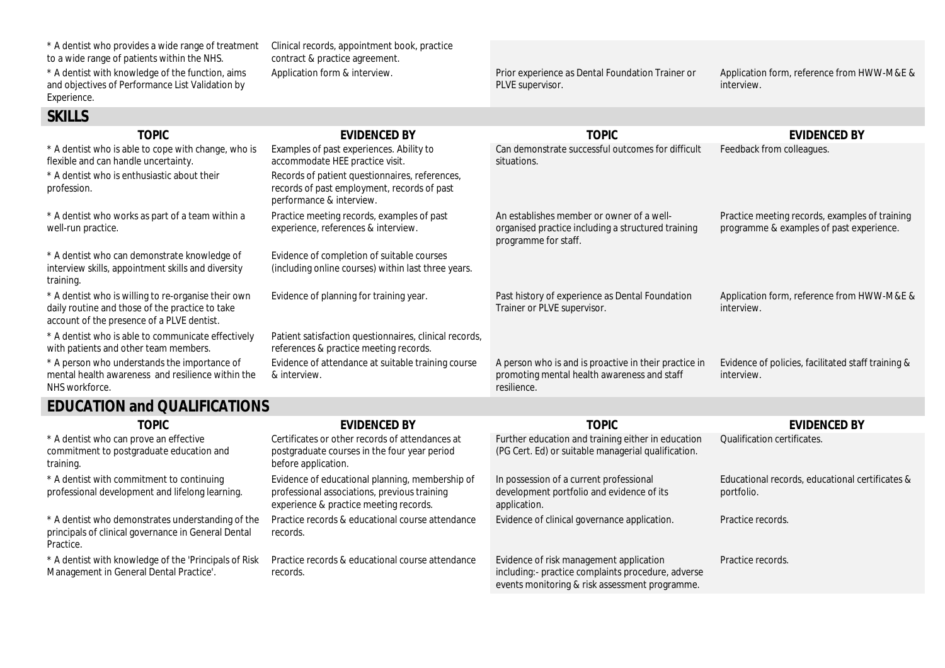| * A dentist who provides a wide range of treatment<br>to a wide range of patients within the NHS.                                                    | Clinical records, appointment book, practice<br>contract & practice agreement.                                            |                                                                                                                         |                                                                                            |
|------------------------------------------------------------------------------------------------------------------------------------------------------|---------------------------------------------------------------------------------------------------------------------------|-------------------------------------------------------------------------------------------------------------------------|--------------------------------------------------------------------------------------------|
| * A dentist with knowledge of the function, aims<br>and objectives of Performance List Validation by<br>Experience.                                  | Application form & interview.                                                                                             | Prior experience as Dental Foundation Trainer or<br>PLVE supervisor.                                                    | Application form, reference from HWW-M&E &<br>interview.                                   |
| <b>SKILLS</b>                                                                                                                                        |                                                                                                                           |                                                                                                                         |                                                                                            |
| <b>TOPIC</b>                                                                                                                                         | <b>EVIDENCED BY</b>                                                                                                       | <b>TOPIC</b>                                                                                                            | <b>EVIDENCED BY</b>                                                                        |
| * A dentist who is able to cope with change, who is<br>flexible and can handle uncertainty.                                                          | Examples of past experiences. Ability to<br>accommodate HEE practice visit.                                               | Can demonstrate successful outcomes for difficult<br>situations.                                                        | Feedback from colleagues.                                                                  |
| * A dentist who is enthusiastic about their<br>profession.                                                                                           | Records of patient questionnaires, references,<br>records of past employment, records of past<br>performance & interview. |                                                                                                                         |                                                                                            |
| * A dentist who works as part of a team within a<br>well-run practice.                                                                               | Practice meeting records, examples of past<br>experience, references & interview.                                         | An establishes member or owner of a well-<br>organised practice including a structured training<br>programme for staff. | Practice meeting records, examples of training<br>programme & examples of past experience. |
| * A dentist who can demonstrate knowledge of<br>interview skills, appointment skills and diversity<br>training.                                      | Evidence of completion of suitable courses<br>(including online courses) within last three years.                         |                                                                                                                         |                                                                                            |
| * A dentist who is willing to re-organise their own<br>daily routine and those of the practice to take<br>account of the presence of a PLVE dentist. | Evidence of planning for training year.                                                                                   | Past history of experience as Dental Foundation<br>Trainer or PLVE supervisor.                                          | Application form, reference from HWW-M&E &<br>interview.                                   |
| * A dentist who is able to communicate effectively<br>with patients and other team members.                                                          | Patient satisfaction questionnaires, clinical records,<br>references & practice meeting records.                          |                                                                                                                         |                                                                                            |
| * A person who understands the importance of<br>mental health awareness and resilience within the<br>NHS workforce.                                  | Evidence of attendance at suitable training course<br>& interview.                                                        | A person who is and is proactive in their practice in<br>promoting mental health awareness and staff<br>resilience.     | Evidence of policies, facilitated staff training &<br>interview.                           |

## **EDUCATION and QUALIFICATIONS**

| <b>TOPIC</b>                                                                                                          | EVIDENCED BY                                                                                                                              | <b>TOPIC</b>                                                                                                                                    | EVIDENCED BY                                                  |
|-----------------------------------------------------------------------------------------------------------------------|-------------------------------------------------------------------------------------------------------------------------------------------|-------------------------------------------------------------------------------------------------------------------------------------------------|---------------------------------------------------------------|
| * A dentist who can prove an effective<br>commitment to postgraduate education and<br>training.                       | Certificates or other records of attendances at<br>postgraduate courses in the four year period<br>before application.                    | Further education and training either in education<br>(PG Cert. Ed) or suitable managerial qualification.                                       | <b>Qualification certificates.</b>                            |
| * A dentist with commitment to continuing<br>professional development and lifelong learning.                          | Evidence of educational planning, membership of<br>professional associations, previous training<br>experience & practice meeting records. | In possession of a current professional<br>development portfolio and evidence of its<br>application.                                            | Educational records, educational certificates &<br>portfolio. |
| * A dentist who demonstrates understanding of the<br>principals of clinical governance in General Dental<br>Practice. | Practice records & educational course attendance<br>records.                                                                              | Evidence of clinical governance application.                                                                                                    | Practice records.                                             |
| * A dentist with knowledge of the 'Principals of Risk<br>Management in General Dental Practice'.                      | Practice records & educational course attendance<br>records.                                                                              | Evidence of risk management application<br>including:- practice complaints procedure, adverse<br>events monitoring & risk assessment programme. | Practice records.                                             |